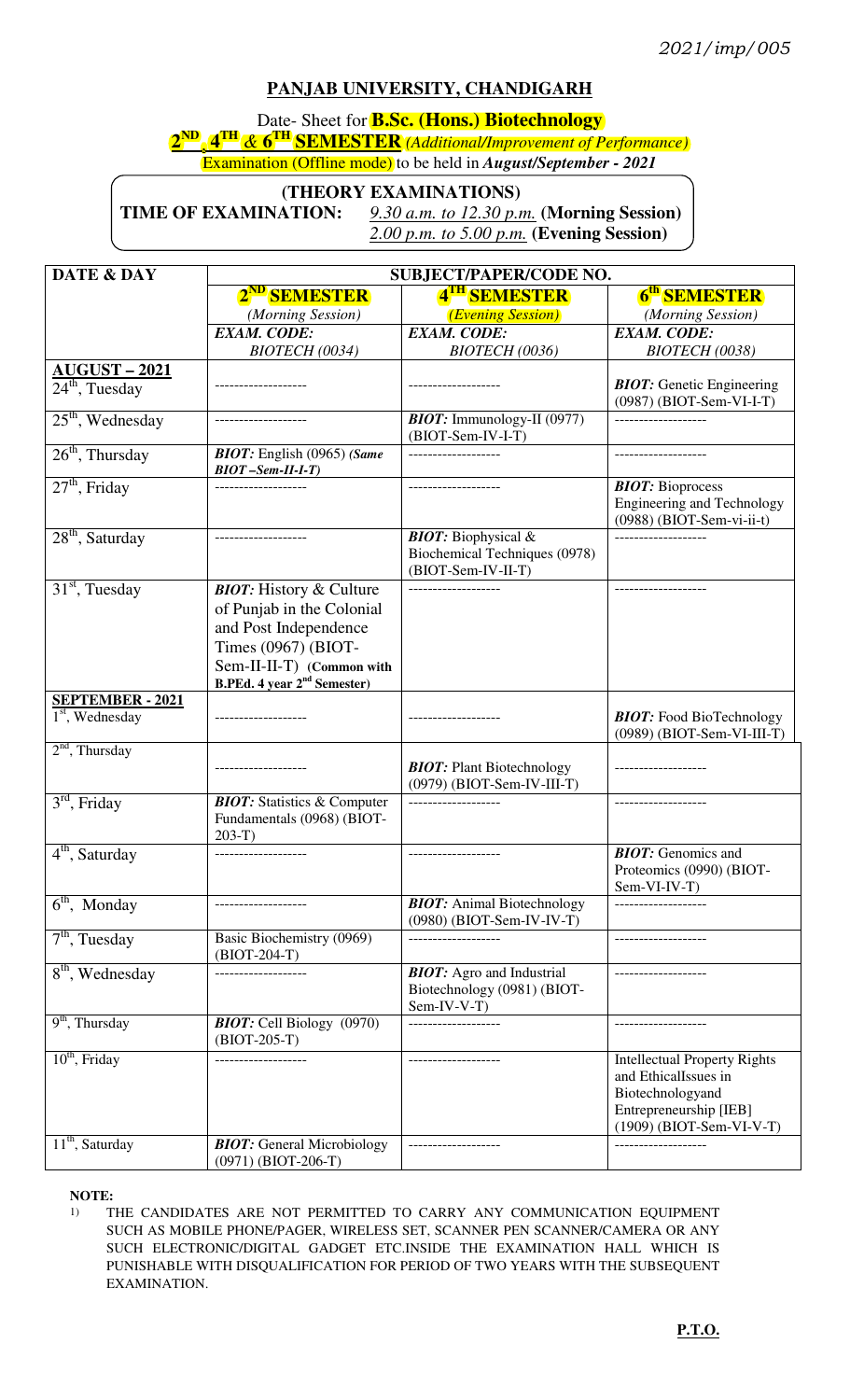## **PANJAB UNIVERSITY, CHANDIGARH**

Date- Sheet for **B.Sc. (Hons.) Biotechnology 2 ND , 4TH** *&* **6 TH SEMESTER** *(Additional/Improvement of Performance)*  Examination (Offline mode) to be held in *August/September - 2021* 

## **(THEORY EXAMINATIONS)**

**TIME OF EXAMINATION:** *9.30 a.m. to 12.30 p.m.* **(Morning Session)** 

*2.00 p.m. to 5.00 p.m.* **(Evening Session)** 

| <b>DATE &amp; DAY</b>                        | <b>SUBJECT/PAPER/CODE NO.</b>                                                                                                                                                             |                                                                                      |                                                                                                                                       |
|----------------------------------------------|-------------------------------------------------------------------------------------------------------------------------------------------------------------------------------------------|--------------------------------------------------------------------------------------|---------------------------------------------------------------------------------------------------------------------------------------|
|                                              | 2 <sup>ND</sup> SEMESTER                                                                                                                                                                  | 4 <sup>TH</sup> SEMESTER                                                             | 6 <sup>th</sup> SEMESTER                                                                                                              |
|                                              | (Morning Session)                                                                                                                                                                         | <i><b>(Evening Session)</b></i>                                                      | (Morning Session)                                                                                                                     |
|                                              | <b>EXAM. CODE:</b>                                                                                                                                                                        | <b>EXAM. CODE:</b>                                                                   | <b>EXAM. CODE:</b>                                                                                                                    |
|                                              | BIOTECH (0034)                                                                                                                                                                            | <b>BIOTECH</b> (0036)                                                                | <b>BIOTECH</b> (0038)                                                                                                                 |
| <b>AUGUST-2021</b><br>$24th$ , Tuesday       |                                                                                                                                                                                           |                                                                                      | <b>BIOT:</b> Genetic Engineering                                                                                                      |
| $25th$ , Wednesday                           | _________________                                                                                                                                                                         | $BIOT$ : Immunology-II (0977)                                                        | (0987) (BIOT-Sem-VI-I-T)                                                                                                              |
| $26th$ , Thursday                            | <b>BIOT:</b> English (0965) (Same<br>$BIOT-Sem-II-I-T$                                                                                                                                    | (BIOT-Sem-IV-I-T)                                                                    |                                                                                                                                       |
| $27th$ , Friday                              |                                                                                                                                                                                           |                                                                                      | <b>BIOT:</b> Bioprocess<br><b>Engineering and Technology</b><br>$(0988)$ (BIOT-Sem-vi-ii-t)                                           |
| $28th$ , Saturday                            |                                                                                                                                                                                           | <b>BIOT:</b> Biophysical $\&$<br>Biochemical Techniques (0978)<br>(BIOT-Sem-IV-II-T) | -----------------                                                                                                                     |
| $31st$ , Tuesday                             | <b>BIOT:</b> History & Culture<br>of Punjab in the Colonial<br>and Post Independence<br>Times (0967) (BIOT-<br>Sem-II-II-T) (Common with<br><b>B.PEd. 4 year 2<sup>nd</sup> Semester)</b> |                                                                                      |                                                                                                                                       |
| <b>SEPTEMBER - 2021</b><br>$1st$ , Wednesday |                                                                                                                                                                                           |                                                                                      | <b>BIOT:</b> Food BioTechnology<br>(0989) (BIOT-Sem-VI-III-T)                                                                         |
| $2nd$ , Thursday                             |                                                                                                                                                                                           | <b>BIOT:</b> Plant Biotechnology<br>(0979) (BIOT-Sem-IV-III-T)                       |                                                                                                                                       |
| $\overline{3^{rd}}$ , Friday                 | <b>BIOT:</b> Statistics & Computer<br>Fundamentals (0968) (BIOT-<br>$203-T$ )                                                                                                             |                                                                                      |                                                                                                                                       |
| $4th$ , Saturday                             |                                                                                                                                                                                           |                                                                                      | <b>BIOT:</b> Genomics and<br>Proteomics (0990) (BIOT-<br>$Sem-VI-IV-T)$                                                               |
| $\overline{6^{th}}$ , Monday                 |                                                                                                                                                                                           | <b>BIOT:</b> Animal Biotechnology<br>(0980) (BIOT-Sem-IV-IV-T)                       |                                                                                                                                       |
| $7th$ , Tuesday                              | Basic Biochemistry (0969)<br>$(BIOT-204-T)$                                                                                                                                               |                                                                                      |                                                                                                                                       |
| $\overline{8}^{\text{th}}$ , Wednesday       |                                                                                                                                                                                           | <b>BIOT:</b> Agro and Industrial<br>Biotechnology (0981) (BIOT-<br>Sem-IV-V-T)       |                                                                                                                                       |
| $9th$ , Thursday                             | <b>BIOT:</b> Cell Biology (0970)<br>$(BIOT-205-T)$                                                                                                                                        |                                                                                      |                                                                                                                                       |
| $10th$ , Friday                              |                                                                                                                                                                                           |                                                                                      | <b>Intellectual Property Rights</b><br>and EthicalIssues in<br>Biotechnologyand<br>Entrepreneurship [IEB]<br>(1909) (BIOT-Sem-VI-V-T) |
| $11th$ , Saturday                            | <b>BIOT:</b> General Microbiology<br>$(0971)$ (BIOT-206-T)                                                                                                                                |                                                                                      |                                                                                                                                       |

**NOTE:** 

1) THE CANDIDATES ARE NOT PERMITTED TO CARRY ANY COMMUNICATION EQUIPMENT SUCH AS MOBILE PHONE/PAGER, WIRELESS SET, SCANNER PEN SCANNER/CAMERA OR ANY SUCH ELECTRONIC/DIGITAL GADGET ETC.INSIDE THE EXAMINATION HALL WHICH IS PUNISHABLE WITH DISQUALIFICATION FOR PERIOD OF TWO YEARS WITH THE SUBSEQUENT EXAMINATION.